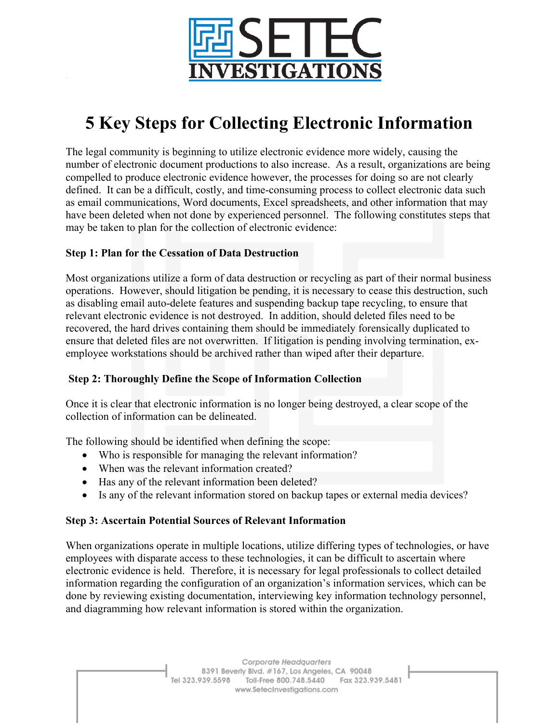

# **5 Key Steps for Collecting Electronic Information**

The legal community is beginning to utilize electronic evidence more widely, causing the number of electronic document productions to also increase. As a result, organizations are being compelled to produce electronic evidence however, the processes for doing so are not clearly defined. It can be a difficult, costly, and time-consuming process to collect electronic data such as email communications, Word documents, Excel spreadsheets, and other information that may have been deleted when not done by experienced personnel. The following constitutes steps that may be taken to plan for the collection of electronic evidence:

### **Step 1: Plan for the Cessation of Data Destruction**

Most organizations utilize a form of data destruction or recycling as part of their normal business operations. However, should litigation be pending, it is necessary to cease this destruction, such as disabling email auto-delete features and suspending backup tape recycling, to ensure that relevant electronic evidence is not destroyed. In addition, should deleted files need to be recovered, the hard drives containing them should be immediately forensically duplicated to ensure that deleted files are not overwritten. If litigation is pending involving termination, exemployee workstations should be archived rather than wiped after their departure.

## **Step 2: Thoroughly Define the Scope of Information Collection**

Once it is clear that electronic information is no longer being destroyed, a clear scope of the collection of information can be delineated.

The following should be identified when defining the scope:

- Who is responsible for managing the relevant information?
- When was the relevant information created?
- Has any of the relevant information been deleted?
- Is any of the relevant information stored on backup tapes or external media devices?

### **Step 3: Ascertain Potential Sources of Relevant Information**

When organizations operate in multiple locations, utilize differing types of technologies, or have employees with disparate access to these technologies, it can be difficult to ascertain where electronic evidence is held. Therefore, it is necessary for legal professionals to collect detailed information regarding the configuration of an organization's information services, which can be done by reviewing existing documentation, interviewing key information technology personnel, and diagramming how relevant information is stored within the organization.

> Corporate Headquarters 8391 Beverly Blvd. #167, Los Angeles, CA 90048 Tel 323.939.5598 Toll-Free 800.748.5440 Fax 323.939.5481 www.SetecInvestigations.com